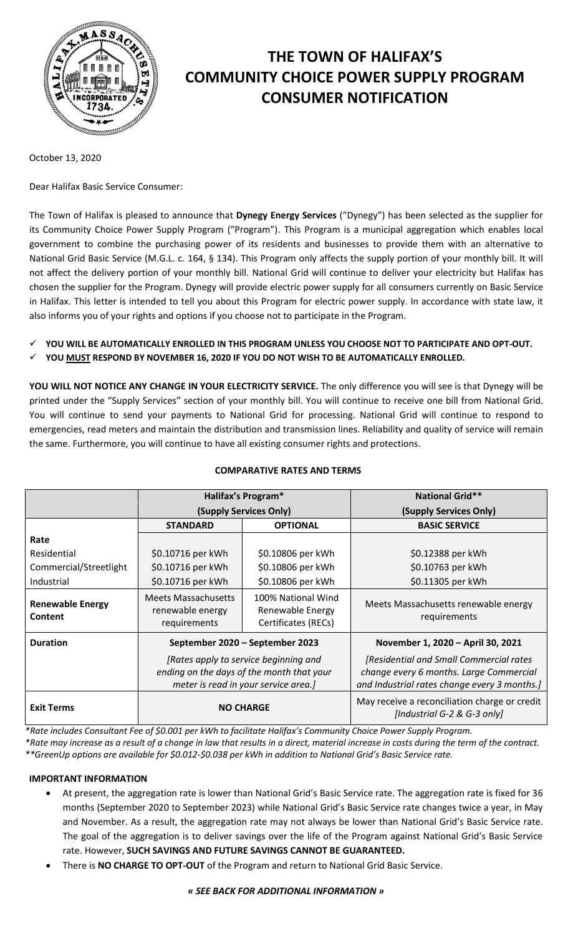

# **THE TOWN OF HALIFAX'S COMMUNITY CHOICE POWER SUPPLY PROGRAM CONSUMER NOTIFICATION**

October 13, 2020

Dear Halifax Basic Service Consumer:

The Town of Halifax is pleased to announce that **Dynegy Energy Services** ("Dynegy") has been selected as the supplier for its Community Choice Power Supply Program ("Program"). This Program is a municipal aggregation which enables local government to combine the purchasing power of its residents and businesses to provide them with an alternative to National Grid Basic Service (M.G.L. c. 164, § 134). This Program only affects the supply portion of your monthly bill. It will not affect the delivery portion of your monthly bill. National Grid will continue to deliver your electricity but Halifax has chosen the supplier for the Program. Dynegy will provide electric power supply for all consumers currently on Basic Service in Halifax. This letter is intended to tell you about this Program for electric power supply. In accordance with state law, it also informs you of your rights and options if you choose not to participate in the Program.

- **YOU WILL BE AUTOMATICALLY ENROLLED IN THIS PROGRAM UNLESS YOU CHOOSE NOT TO PARTICIPATE AND OPT-OUT.**
- **YOU MUST RESPOND BY NOVEMBER 16, 2020 IF YOU DO NOT WISH TO BE AUTOMATICALLY ENROLLED.**

**YOU WILL NOT NOTICE ANY CHANGE IN YOUR ELECTRICITY SERVICE.** The only difference you will see is that Dynegy will be printed under the "Supply Services" section of your monthly bill. You will continue to receive one bill from National Grid. You will continue to send your payments to National Grid for processing. National Grid will continue to respond to emergencies, read meters and maintain the distribution and transmission lines. Reliability and quality of service will remain the same. Furthermore, you will continue to have all existing consumer rights and protections.

|                                           | <b>Halifax's Program*</b>                                                                                                  |                                                               | <b>National Grid**</b>                                                                                                             |
|-------------------------------------------|----------------------------------------------------------------------------------------------------------------------------|---------------------------------------------------------------|------------------------------------------------------------------------------------------------------------------------------------|
|                                           | (Supply Services Only)                                                                                                     |                                                               | (Supply Services Only)                                                                                                             |
|                                           | <b>STANDARD</b>                                                                                                            | <b>OPTIONAL</b>                                               | <b>BASIC SERVICE</b>                                                                                                               |
| Rate                                      |                                                                                                                            |                                                               |                                                                                                                                    |
| Residential                               | \$0.10716 per kWh                                                                                                          | \$0.10806 per kWh                                             | \$0.12388 per kWh                                                                                                                  |
| Commercial/Streetlight                    | \$0.10716 per kWh                                                                                                          | \$0.10806 per kWh                                             | \$0.10763 per kWh                                                                                                                  |
| Industrial                                | \$0.10716 per kWh                                                                                                          | \$0.10806 per kWh                                             | \$0.11305 per kWh                                                                                                                  |
| <b>Renewable Energy</b><br><b>Content</b> | <b>Meets Massachusetts</b><br>renewable energy<br>requirements                                                             | 100% National Wind<br>Renewable Energy<br>Certificates (RECs) | Meets Massachusetts renewable energy<br>requirements                                                                               |
| <b>Duration</b>                           | September 2020 - September 2023                                                                                            |                                                               | November 1, 2020 - April 30, 2021                                                                                                  |
|                                           | [Rates apply to service beginning and<br>ending on the days of the month that your<br>meter is read in your service area.] |                                                               | [Residential and Small Commercial rates<br>change every 6 months. Large Commercial<br>and Industrial rates change every 3 months.] |
| <b>Exit Terms</b>                         | <b>NO CHARGE</b>                                                                                                           |                                                               | May receive a reconciliation charge or credit<br>[Industrial G-2 & G-3 only]                                                       |

# **COMPARATIVE RATES AND TERMS**

*\*Rate includes Consultant Fee of \$0.001 per kWh to facilitate Halifax's Community Choice Power Supply Program.*

*\*Rate may increase as a result of a change in law that results in a direct, material increase in costs during the term of the contract. \*\*GreenUp options are available for \$0.012-\$0.038 per kWh in addition to National Grid's Basic Service rate.*

## **IMPORTANT INFORMATION**

- At present, the aggregation rate is lower than National Grid's Basic Service rate. The aggregation rate is fixed for 36 months (September 2020 to September 2023) while National Grid's Basic Service rate changes twice a year, in May and November. As a result, the aggregation rate may not always be lower than National Grid's Basic Service rate. The goal of the aggregation is to deliver savings over the life of the Program against National Grid's Basic Service rate. However, **SUCH SAVINGS AND FUTURE SAVINGS CANNOT BE GUARANTEED.**
- There is **NO CHARGE TO OPT-OUT** of the Program and return to National Grid Basic Service.